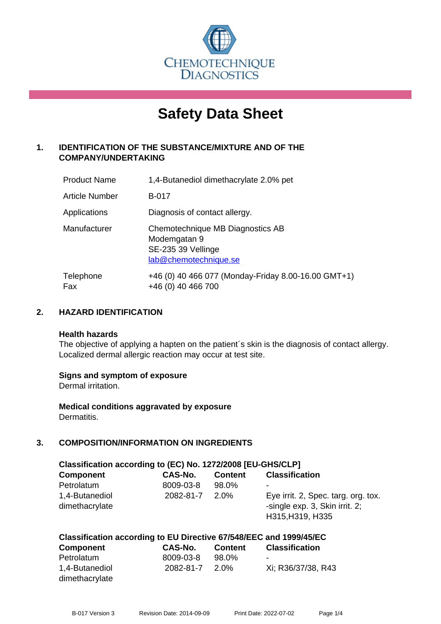

# **Safety Data Sheet**

# **1. IDENTIFICATION OF THE SUBSTANCE/MIXTURE AND OF THE COMPANY/UNDERTAKING**

| <b>Product Name</b> | 1,4-Butanediol dimethacrylate 2.0% pet                                                          |
|---------------------|-------------------------------------------------------------------------------------------------|
| Article Number      | <b>B-017</b>                                                                                    |
| Applications        | Diagnosis of contact allergy.                                                                   |
| Manufacturer        | Chemotechnique MB Diagnostics AB<br>Modemgatan 9<br>SE-235 39 Vellinge<br>lab@chemotechnique.se |
| Telephone<br>Fax    | +46 (0) 40 466 077 (Monday-Friday 8.00-16.00 GMT+1)<br>+46 (0) 40 466 700                       |

# **2. HAZARD IDENTIFICATION**

#### **Health hazards**

The objective of applying a hapten on the patient's skin is the diagnosis of contact allergy. Localized dermal allergic reaction may occur at test site.

#### **Signs and symptom of exposure**

Dermal irritation.

**Medical conditions aggravated by exposure** Dermatitis.

# **3. COMPOSITION/INFORMATION ON INGREDIENTS**

| Classification according to (EC) No. 1272/2008 [EU-GHS/CLP] |                |                |                                                                                           |  |
|-------------------------------------------------------------|----------------|----------------|-------------------------------------------------------------------------------------------|--|
| <b>Component</b>                                            | <b>CAS-No.</b> | <b>Content</b> | <b>Classification</b>                                                                     |  |
| Petrolatum                                                  | 8009-03-8      | 98.0%          | ٠                                                                                         |  |
| 1,4-Butanediol<br>dimethacrylate                            | 2082-81-7      | $2.0\%$        | Eye irrit. 2, Spec. targ. org. tox.<br>-single exp. 3, Skin irrit. 2;<br>H315, H319, H335 |  |

#### **Classification according to EU Directive 67/548/EEC and 1999/45/EC**

| <b>Component</b> | CAS-No.   | <b>Content</b> | <b>Classification</b> |
|------------------|-----------|----------------|-----------------------|
| Petrolatum       | 8009-03-8 | 98.0%          | -                     |
| 1,4-Butanediol   | 2082-81-7 | 2.0%           | Xi: R36/37/38, R43    |
| dimethacrylate   |           |                |                       |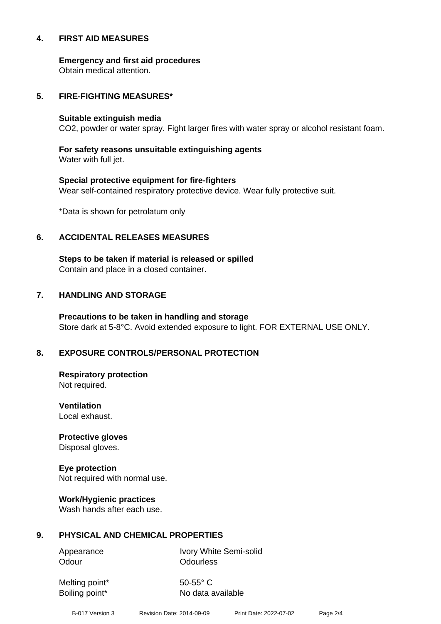#### **4. FIRST AID MEASURES**

**Emergency and first aid procedures**

Obtain medical attention.

#### **5. FIRE-FIGHTING MEASURES\***

#### **Suitable extinguish media**

CO2, powder or water spray. Fight larger fires with water spray or alcohol resistant foam.

# **For safety reasons unsuitable extinguishing agents**

Water with full jet.

# **Special protective equipment for fire-fighters** Wear self-contained respiratory protective device. Wear fully protective suit.

\*Data is shown for petrolatum only

# **6. ACCIDENTAL RELEASES MEASURES**

**Steps to be taken if material is released or spilled** Contain and place in a closed container.

# **7. HANDLING AND STORAGE**

**Precautions to be taken in handling and storage** Store dark at 5-8°C. Avoid extended exposure to light. FOR EXTERNAL USE ONLY.

# **8. EXPOSURE CONTROLS/PERSONAL PROTECTION**

**Respiratory protection** Not required.

**Ventilation** Local exhaust.

**Protective gloves** Disposal gloves.

# **Eye protection**

Not required with normal use.

#### **Work/Hygienic practices**

Wash hands after each use.

#### **9. PHYSICAL AND CHEMICAL PROPERTIES**

Odour **Odourless** 

Appearance Ivory White Semi-solid

Melting point\* 50-55° C

Boiling point\* No data available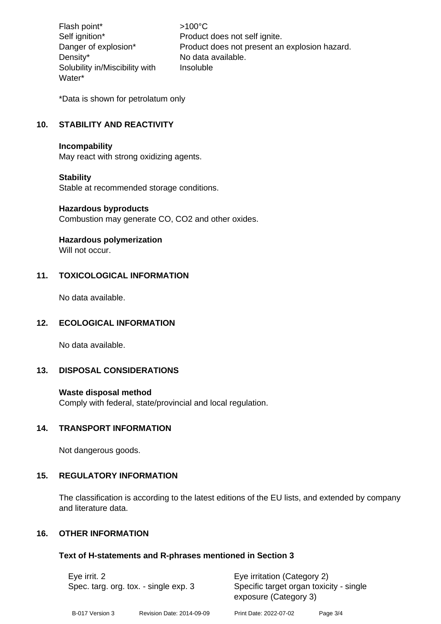Flash point\* >100°C Density\* No data available. Solubility in/Miscibility with Water\*

Self ignition\* Product does not self ignite. Danger of explosion\* Product does not present an explosion hazard. Insoluble

\*Data is shown for petrolatum only

# **10. STABILITY AND REACTIVITY**

#### **Incompability**

May react with strong oxidizing agents.

#### **Stability**

Stable at recommended storage conditions.

#### **Hazardous byproducts**

Combustion may generate CO, CO2 and other oxides.

#### **Hazardous polymerization**

Will not occur

# **11. TOXICOLOGICAL INFORMATION**

No data available.

#### **12. ECOLOGICAL INFORMATION**

No data available.

# **13. DISPOSAL CONSIDERATIONS**

#### **Waste disposal method**

Comply with federal, state/provincial and local regulation.

# **14. TRANSPORT INFORMATION**

Not dangerous goods.

# **15. REGULATORY INFORMATION**

The classification is according to the latest editions of the EU lists, and extended by company and literature data.

# **16. OTHER INFORMATION**

# **Text of H-statements and R-phrases mentioned in Section 3**

| Eye irrit. 2<br>Spec. targ. org. tox. - single exp. 3 |                           |                        | Eye irritation (Category 2)<br>Specific target organ toxicity - single<br>exposure (Category 3) |  |
|-------------------------------------------------------|---------------------------|------------------------|-------------------------------------------------------------------------------------------------|--|
| B-017 Version 3                                       | Revision Date: 2014-09-09 | Print Date: 2022-07-02 | Page 3/4                                                                                        |  |